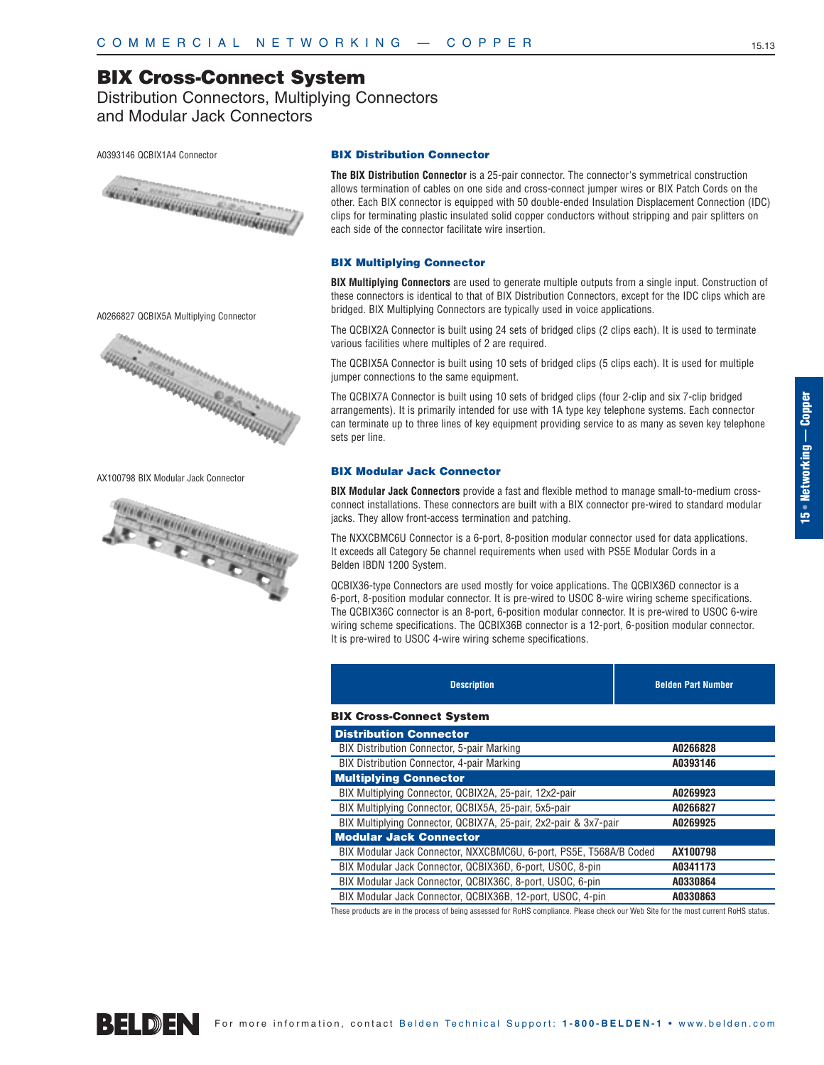Distribution Connectors, Multiplying Connectors and Modular Jack Connectors

#### A0393146 QCBIX1A4 Connector



A0266827 QCBIX5A Multiplying Connector



AX100798 BIX Modular Jack Connector



#### **BIX Distribution Connector**

**The BIX Distribution Connector** is a 25-pair connector. The connector's symmetrical construction allows termination of cables on one side and cross-connect jumper wires or BIX Patch Cords on the other. Each BIX connector is equipped with 50 double-ended Insulation Displacement Connection (IDC) clips for terminating plastic insulated solid copper conductors without stripping and pair splitters on each side of the connector facilitate wire insertion.

#### **BIX Multiplying Connector**

**BIX Multiplying Connectors** are used to generate multiple outputs from a single input. Construction of these connectors is identical to that of BIX Distribution Connectors, except for the IDC clips which are bridged. BIX Multiplying Connectors are typically used in voice applications.

The QCBIX2A Connector is built using 24 sets of bridged clips (2 clips each). It is used to terminate various facilities where multiples of 2 are required.

The QCBIX5A Connector is built using 10 sets of bridged clips (5 clips each). It is used for multiple jumper connections to the same equipment.

The QCBIX7A Connector is built using 10 sets of bridged clips (four 2-clip and six 7-clip bridged arrangements). It is primarily intended for use with 1A type key telephone systems. Each connector can terminate up to three lines of key equipment providing service to as many as seven key telephone sets per line.

#### **BIX Modular Jack Connector**

**BIX Modular Jack Connectors** provide a fast and flexible method to manage small-to-medium crossconnect installations. These connectors are built with a BIX connector pre-wired to standard modular jacks. They allow front-access termination and patching.

The NXXCBMC6U Connector is a 6-port, 8-position modular connector used for data applications. It exceeds all Category 5e channel requirements when used with PS5E Modular Cords in a Belden IBDN 1200 System.

QCBIX36-type Connectors are used mostly for voice applications. The QCBIX36D connector is a 6-port, 8-position modular connector. It is pre-wired to USOC 8-wire wiring scheme specifications. The QCBIX36C connector is an 8-port, 6-position modular connector. It is pre-wired to USOC 6-wire wiring scheme specifications. The QCBIX36B connector is a 12-port, 6-position modular connector. It is pre-wired to USOC 4-wire wiring scheme specifications.

| <b>Description</b>                                                 | <b>Belden Part Number</b> |
|--------------------------------------------------------------------|---------------------------|
| <b>BIX Cross-Connect System</b>                                    |                           |
| <b>Distribution Connector</b>                                      |                           |
| <b>BIX Distribution Connector, 5-pair Marking</b>                  | A0266828                  |
| <b>BIX Distribution Connector, 4-pair Marking</b>                  | A0393146                  |
| <b>Multiplying Connector</b>                                       |                           |
| BIX Multiplying Connector, QCBIX2A, 25-pair, 12x2-pair             | A0269923                  |
| BIX Multiplying Connector, QCBIX5A, 25-pair, 5x5-pair              | A0266827                  |
| BIX Multiplying Connector, QCBIX7A, 25-pair, 2x2-pair & 3x7-pair   | A0269925                  |
| <b>Modular Jack Connector</b>                                      |                           |
| BIX Modular Jack Connector, NXXCBMC6U, 6-port, PS5E, T568A/B Coded | AX100798                  |
| BIX Modular Jack Connector, QCBIX36D, 6-port, USOC, 8-pin          | A0341173                  |
| BIX Modular Jack Connector, QCBIX36C, 8-port, USOC, 6-pin          | A0330864                  |
| BIX Modular Jack Connector, QCBIX36B, 12-port, USOC, 4-pin         | A0330863                  |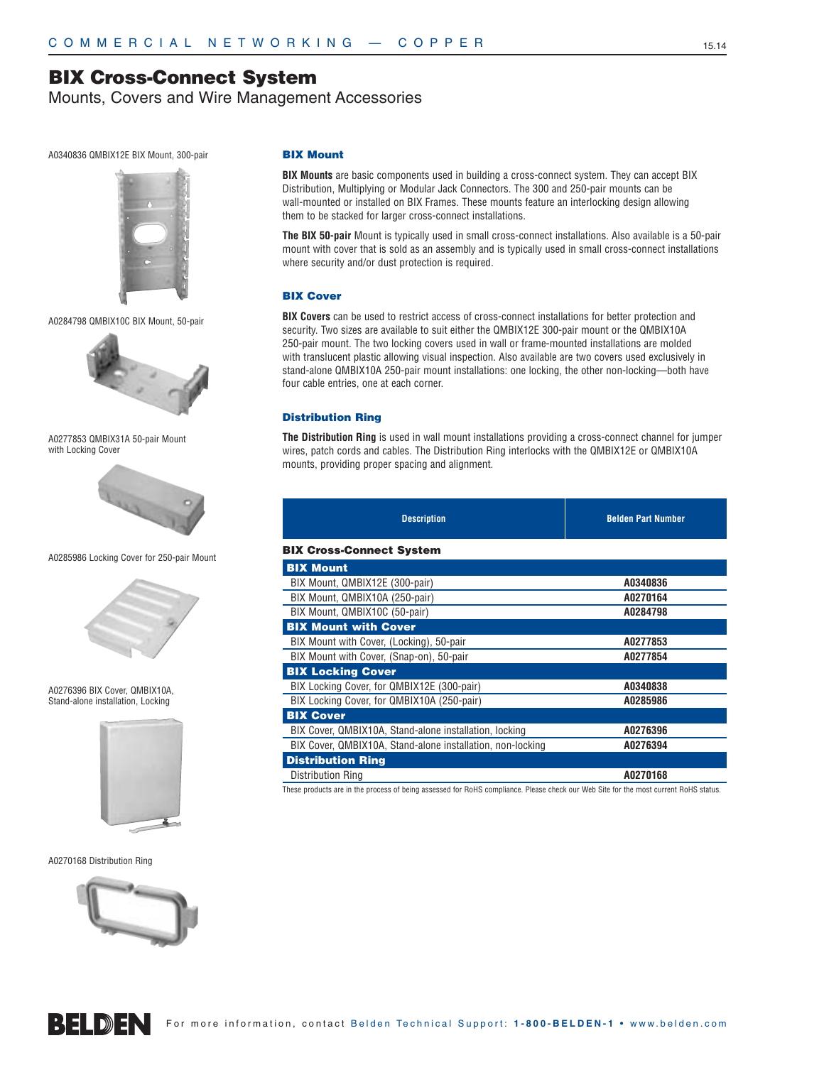Mounts, Covers and Wire Management Accessories

#### A0340836 QMBIX12E BIX Mount, 300-pair



A0284798 QMBIX10C BIX Mount, 50-pair



A0277853 QMBIX31A 50-pair Mount with Locking Cover



A0285986 Locking Cover for 250-pair Mount



A0276396 BIX Cover, QMBIX10A, Stand-alone installation, Locking



A0270168 Distribution Ring



#### **BIX Mount**

**BIX Mounts** are basic components used in building a cross-connect system. They can accept BIX Distribution, Multiplying or Modular Jack Connectors. The 300 and 250-pair mounts can be wall-mounted or installed on BIX Frames. These mounts feature an interlocking design allowing them to be stacked for larger cross-connect installations.

**The BIX 50-pair** Mount is typically used in small cross-connect installations. Also available is a 50-pair mount with cover that is sold as an assembly and is typically used in small cross-connect installations where security and/or dust protection is required.

#### **BIX Cover**

**BIX Covers** can be used to restrict access of cross-connect installations for better protection and security. Two sizes are available to suit either the QMBIX12E 300-pair mount or the QMBIX10A 250-pair mount. The two locking covers used in wall or frame-mounted installations are molded with translucent plastic allowing visual inspection. Also available are two covers used exclusively in stand-alone QMBIX10A 250-pair mount installations: one locking, the other non-locking—both have four cable entries, one at each corner.

#### **Distribution Ring**

**The Distribution Ring** is used in wall mount installations providing a cross-connect channel for jumper wires, patch cords and cables. The Distribution Ring interlocks with the QMBIX12E or QMBIX10A mounts, providing proper spacing and alignment.

| <b>Description</b>                                         | <b>Belden Part Number</b> |
|------------------------------------------------------------|---------------------------|
| <b>BIX Cross-Connect System</b>                            |                           |
| <b>BIX Mount</b>                                           |                           |
| BIX Mount, QMBIX12E (300-pair)                             | A0340836                  |
| BIX Mount, QMBIX10A (250-pair)                             | A0270164                  |
| BIX Mount, QMBIX10C (50-pair)                              | A0284798                  |
| <b>BIX Mount with Cover</b>                                |                           |
| BIX Mount with Cover, (Locking), 50-pair                   | A0277853                  |
| BIX Mount with Cover, (Snap-on), 50-pair                   | A0277854                  |
| <b>BIX Locking Cover</b>                                   |                           |
| BIX Locking Cover, for QMBIX12E (300-pair)                 | A0340838                  |
| BIX Locking Cover, for QMBIX10A (250-pair)                 | A0285986                  |
| <b>BIX Cover</b>                                           |                           |
| BIX Cover, QMBIX10A, Stand-alone installation, locking     | A0276396                  |
| BIX Cover, QMBIX10A, Stand-alone installation, non-locking | A0276394                  |
| <b>Distribution Ring</b>                                   |                           |
| Distribution Ring                                          | A0270168                  |



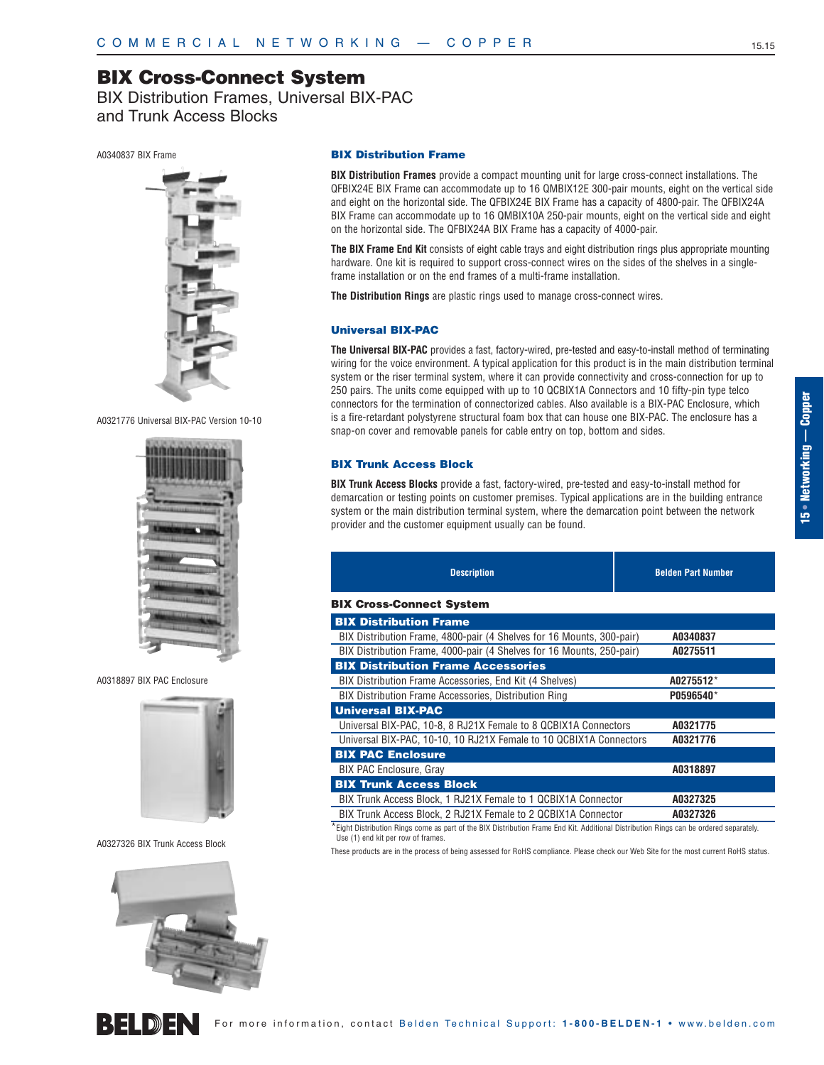BIX Distribution Frames, Universal BIX-PAC and Trunk Access Blocks

A0340837 BIX Frame



A0321776 Universal BIX-PAC Version 10-10



A0318897 BIX PAC Enclosure



A0327326 BIX Trunk Access Block



## REIMEN

**BIX Distribution Frames** provide a compact mounting unit for large cross-connect installations. The QFBIX24E BIX Frame can accommodate up to 16 QMBIX12E 300-pair mounts, eight on the vertical side and eight on the horizontal side. The QFBIX24E BIX Frame has a capacity of 4800-pair. The QFBIX24A BIX Frame can accommodate up to 16 QMBIX10A 250-pair mounts, eight on the vertical side and eight on the horizontal side. The QFBIX24A BIX Frame has a capacity of 4000-pair.

**The BIX Frame End Kit** consists of eight cable trays and eight distribution rings plus appropriate mounting hardware. One kit is required to support cross-connect wires on the sides of the shelves in a singleframe installation or on the end frames of a multi-frame installation.

**The Distribution Rings** are plastic rings used to manage cross-connect wires.

#### **Universal BIX-PAC**

**The Universal BIX-PAC** provides a fast, factory-wired, pre-tested and easy-to-install method of terminating wiring for the voice environment. A typical application for this product is in the main distribution terminal system or the riser terminal system, where it can provide connectivity and cross-connection for up to 250 pairs. The units come equipped with up to 10 QCBIX1A Connectors and 10 fifty-pin type telco connectors for the termination of connectorized cables. Also available is a BIX-PAC Enclosure, which is a fire-retardant polystyrene structural foam box that can house one BIX-PAC. The enclosure has a snap-on cover and removable panels for cable entry on top, bottom and sides.

#### **BIX Trunk Access Block**

**BIX Trunk Access Blocks** provide a fast, factory-wired, pre-tested and easy-to-install method for demarcation or testing points on customer premises. Typical applications are in the building entrance system or the main distribution terminal system, where the demarcation point between the network provider and the customer equipment usually can be found.

| <b>Description</b>                                                    | <b>Belden Part Number</b> |
|-----------------------------------------------------------------------|---------------------------|
| <b>BIX Cross-Connect System</b>                                       |                           |
| <b>BIX Distribution Frame</b>                                         |                           |
| BIX Distribution Frame, 4800-pair (4 Shelves for 16 Mounts, 300-pair) | A0340837                  |
| BIX Distribution Frame, 4000-pair (4 Shelves for 16 Mounts, 250-pair) | A0275511                  |
| <b>BIX Distribution Frame Accessories</b>                             |                           |
| BIX Distribution Frame Accessories, End Kit (4 Shelves)               | A0275512*                 |
| <b>BIX Distribution Frame Accessories, Distribution Ring</b>          | P0596540*                 |
| <b>Universal BIX-PAC</b>                                              |                           |
| Universal BIX-PAC, 10-8, 8 RJ21X Female to 8 QCBIX1A Connectors       | A0321775                  |
| Universal BIX-PAC, 10-10, 10 RJ21X Female to 10 QCBIX1A Connectors    | A0321776                  |
| <b>BIX PAC Enclosure</b>                                              |                           |
| <b>BIX PAC Enclosure, Gray</b>                                        | A0318897                  |
| <b>BIX Trunk Access Block</b>                                         |                           |
| BIX Trunk Access Block, 1 RJ21X Female to 1 QCBIX1A Connector         | A0327325                  |
| BIX Trunk Access Block, 2 RJ21X Female to 2 QCBIX1A Connector         | A0327326                  |

\*Eight Distribution Rings come as part of the BIX Distribution Frame End Kit. Additional Distribution Rings can be ordered separately. Use (1) end kit per row of frames.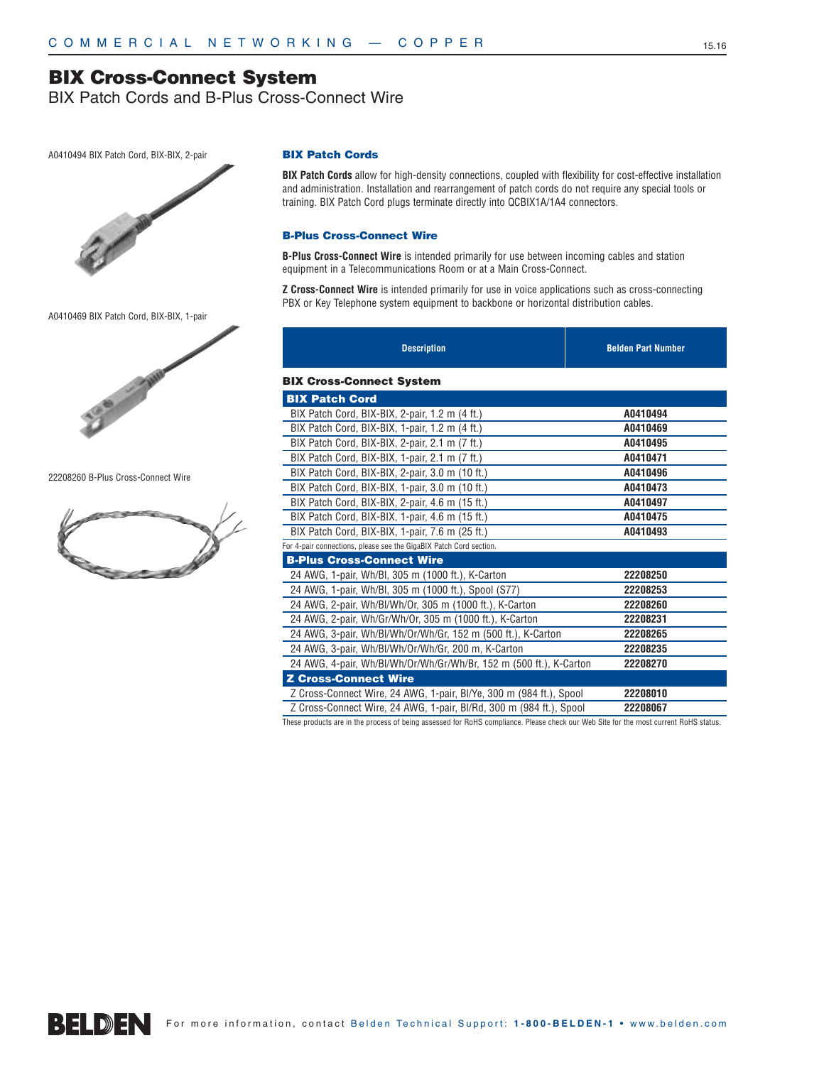BIX Patch Cords and B-Plus Cross-Connect Wire

A0410494 BIX Patch Cord, BIX-BIX, 2-pair



A0410469 BIX Patch Cord, BIX-BIX, 1-pair



22208260 B-Plus Cross-Connect Wire



#### **BIX Patch Cords**

**BIX Patch Cords** allow for high-density connections, coupled with flexibility for cost-effective installation and administration. Installation and rearrangement of patch cords do not require any special tools or training. BIX Patch Cord plugs terminate directly into QCBIX1A/1A4 connectors.

#### **B-Plus Cross-Connect Wire**

**B-Plus Cross-Connect Wire** is intended primarily for use between incoming cables and station equipment in a Telecommunications Room or at a Main Cross-Connect.

**Z Cross-Connect Wire** is intended primarily for use in voice applications such as cross-connecting PBX or Key Telephone system equipment to backbone or horizontal distribution cables.

| <b>Description</b>                                                  | <b>Belden Part Number</b> |
|---------------------------------------------------------------------|---------------------------|
| <b>BIX Cross-Connect System</b>                                     |                           |
| <b>BIX Patch Cord</b>                                               |                           |
| BIX Patch Cord, BIX-BIX, 2-pair, 1.2 m (4 ft.)                      | A0410494                  |
| BIX Patch Cord, BIX-BIX, 1-pair, 1.2 m (4 ft.)                      | A0410469                  |
| BIX Patch Cord, BIX-BIX, 2-pair, 2.1 m (7 ft.)                      | A0410495                  |
| BIX Patch Cord, BIX-BIX, 1-pair, 2.1 m (7 ft.)                      | A0410471                  |
| BIX Patch Cord, BIX-BIX, 2-pair, 3.0 m (10 ft.)                     | A0410496                  |
| BIX Patch Cord, BIX-BIX, 1-pair, 3.0 m (10 ft.)                     | A0410473                  |
| BIX Patch Cord, BIX-BIX, 2-pair, 4.6 m (15 ft.)                     | A0410497                  |
| BIX Patch Cord, BIX-BIX, 1-pair, 4.6 m (15 ft.)                     | A0410475                  |
| BIX Patch Cord, BIX-BIX, 1-pair, 7.6 m (25 ft.)                     | A0410493                  |
| For 4-pair connections, please see the GigaBIX Patch Cord section.  |                           |
| <b>B-Plus Cross-Connect Wire</b>                                    |                           |
| 24 AWG, 1-pair, Wh/BI, 305 m (1000 ft.), K-Carton                   | 22208250                  |
| 24 AWG, 1-pair, Wh/Bl, 305 m (1000 ft.), Spool (S77)                | 22208253                  |
| 24 AWG, 2-pair, Wh/Bl/Wh/Or, 305 m (1000 ft.), K-Carton             | 22208260                  |
| 24 AWG, 2-pair, Wh/Gr/Wh/Or, 305 m (1000 ft.), K-Carton             | 22208231                  |
| 24 AWG, 3-pair, Wh/Bl/Wh/Or/Wh/Gr, 152 m (500 ft.), K-Carton        | 22208265                  |
| 24 AWG, 3-pair, Wh/Bl/Wh/Or/Wh/Gr, 200 m, K-Carton                  | 22208235                  |
| 24 AWG, 4-pair, Wh/Bl/Wh/Or/Wh/Gr/Wh/Br, 152 m (500 ft.), K-Carton  | 22208270                  |
| <b>Z Cross-Connect Wire</b>                                         |                           |
| Z Cross-Connect Wire, 24 AWG, 1-pair, BI/Ye, 300 m (984 ft.), Spool | 22208010                  |
| Z Cross-Connect Wire, 24 AWG, 1-pair, BI/Rd, 300 m (984 ft.), Spool | 22208067                  |

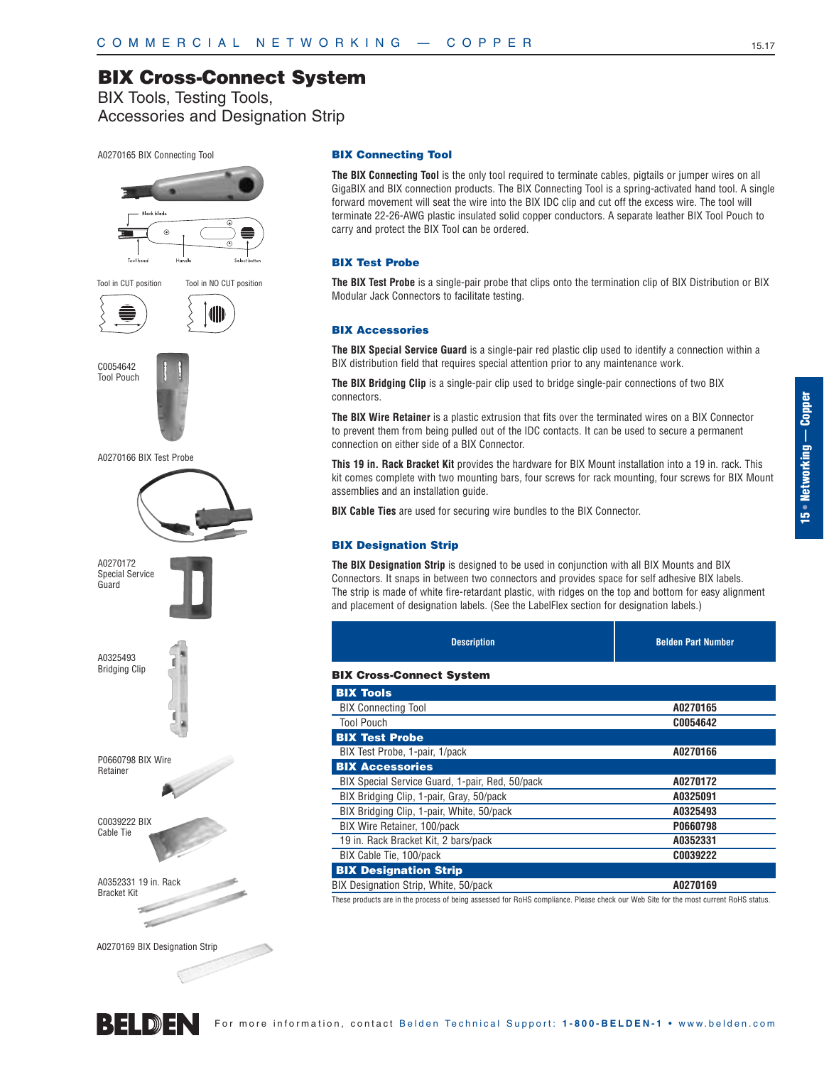BIX Tools, Testing Tools, Accessories and Designation Strip

#### A0270165 BIX Connecting Tool



#### **BIX Connecting Tool**

**The BIX Connecting Tool** is the only tool required to terminate cables, pigtails or jumper wires on all GigaBIX and BIX connection products. The BIX Connecting Tool is a spring-activated hand tool. A single forward movement will seat the wire into the BIX IDC clip and cut off the excess wire. The tool will terminate 22-26-AWG plastic insulated solid copper conductors. A separate leather BIX Tool Pouch to carry and protect the BIX Tool can be ordered.

#### **BIX Test Probe**

**The BIX Test Probe** is a single-pair probe that clips onto the termination clip of BIX Distribution or BIX Modular Jack Connectors to facilitate testing.

#### **BIX Accessories**

**The BIX Special Service Guard** is a single-pair red plastic clip used to identify a connection within a BIX distribution field that requires special attention prior to any maintenance work.

**The BIX Bridging Clip** is a single-pair clip used to bridge single-pair connections of two BIX connectors.

**The BIX Wire Retainer** is a plastic extrusion that fits over the terminated wires on a BIX Connector to prevent them from being pulled out of the IDC contacts. It can be used to secure a permanent connection on either side of a BIX Connector.

**This 19 in. Rack Bracket Kit** provides the hardware for BIX Mount installation into a 19 in. rack. This kit comes complete with two mounting bars, four screws for rack mounting, four screws for BIX Mount assemblies and an installation guide.

**BIX Cable Ties** are used for securing wire bundles to the BIX Connector.

#### **BIX Designation Strip**

**The BIX Designation Strip** is designed to be used in conjunction with all BIX Mounts and BIX Connectors. It snaps in between two connectors and provides space for self adhesive BIX labels. The strip is made of white fire-retardant plastic, with ridges on the top and bottom for easy alignment and placement of designation labels. (See the LabelFlex section for designation labels.)

| <b>Description</b>                              | <b>Belden Part Number</b> |
|-------------------------------------------------|---------------------------|
| <b>BIX Cross-Connect System</b>                 |                           |
| <b>BIX Tools</b>                                |                           |
| <b>BIX Connecting Tool</b>                      | A0270165                  |
| <b>Tool Pouch</b>                               | C0054642                  |
| <b>BIX Test Probe</b>                           |                           |
| BIX Test Probe, 1-pair, 1/pack                  | A0270166                  |
| <b>BIX Accessories</b>                          |                           |
| BIX Special Service Guard, 1-pair, Red, 50/pack | A0270172                  |

| BIX Special Service Guard, 1-pair, Red, 50/pack | AU2/U1/2 |
|-------------------------------------------------|----------|
| BIX Bridging Clip, 1-pair, Gray, 50/pack        | A0325091 |
| BIX Bridging Clip, 1-pair, White, 50/pack       | A0325493 |
| BIX Wire Retainer, 100/pack                     | P0660798 |
| 19 in. Rack Bracket Kit, 2 bars/pack            | A0352331 |
| BIX Cable Tie, 100/pack                         | C0039222 |
| <b>BIX Designation Strip</b>                    |          |
| BIX Designation Strip, White, 50/pack           | A0270169 |